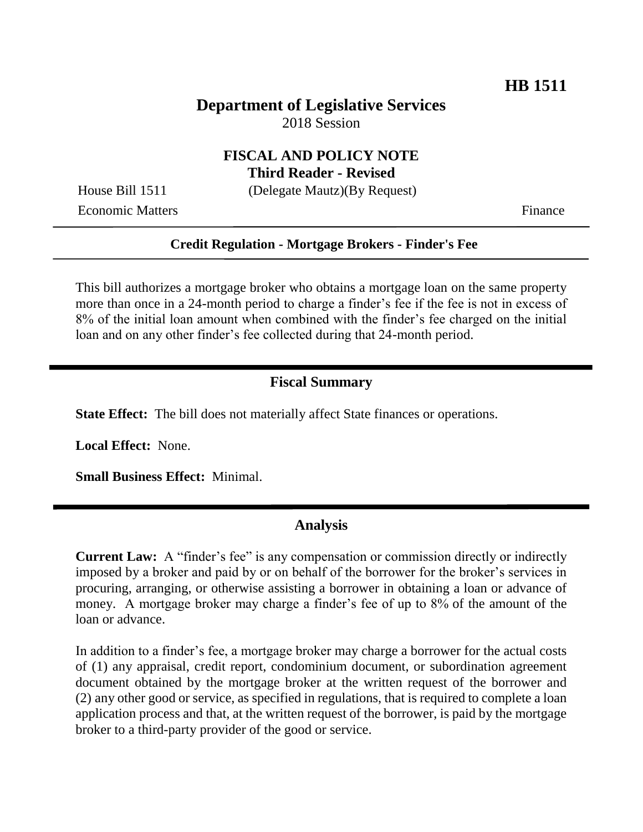## **Department of Legislative Services** 2018 Session

### **FISCAL AND POLICY NOTE Third Reader - Revised**

Economic Matters **Finance** 

House Bill 1511 (Delegate Mautz)(By Request)

#### **Credit Regulation - Mortgage Brokers - Finder's Fee**

This bill authorizes a mortgage broker who obtains a mortgage loan on the same property more than once in a 24-month period to charge a finder's fee if the fee is not in excess of 8% of the initial loan amount when combined with the finder's fee charged on the initial loan and on any other finder's fee collected during that 24-month period.

#### **Fiscal Summary**

**State Effect:** The bill does not materially affect State finances or operations.

**Local Effect:** None.

**Small Business Effect:** Minimal.

### **Analysis**

**Current Law:** A "finder's fee" is any compensation or commission directly or indirectly imposed by a broker and paid by or on behalf of the borrower for the broker's services in procuring, arranging, or otherwise assisting a borrower in obtaining a loan or advance of money.A mortgage broker may charge a finder's fee of up to 8% of the amount of the loan or advance.

In addition to a finder's fee, a mortgage broker may charge a borrower for the actual costs of (1) any appraisal, credit report, condominium document, or subordination agreement document obtained by the mortgage broker at the written request of the borrower and (2) any other good or service, as specified in regulations, that is required to complete a loan application process and that, at the written request of the borrower, is paid by the mortgage broker to a third-party provider of the good or service.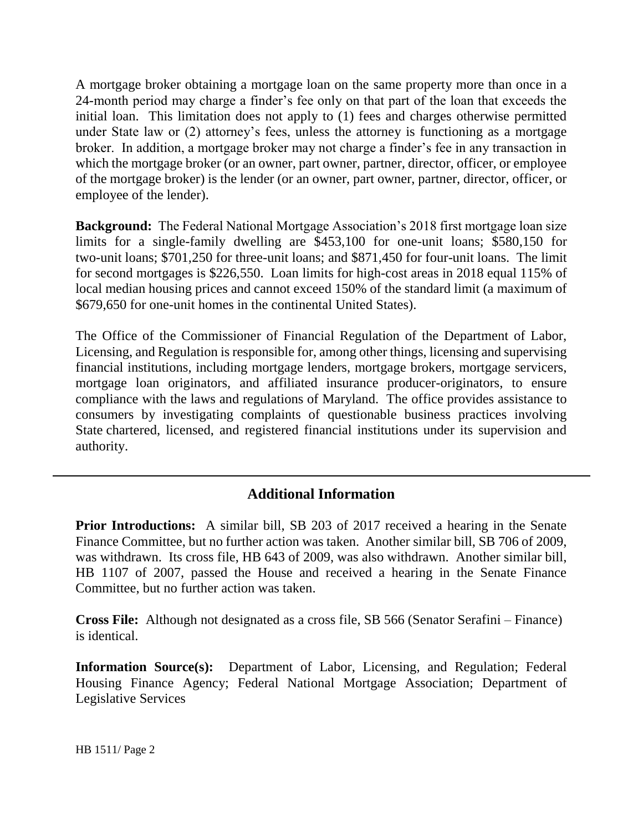A mortgage broker obtaining a mortgage loan on the same property more than once in a 24-month period may charge a finder's fee only on that part of the loan that exceeds the initial loan. This limitation does not apply to (1) fees and charges otherwise permitted under State law or (2) attorney's fees, unless the attorney is functioning as a mortgage broker. In addition, a mortgage broker may not charge a finder's fee in any transaction in which the mortgage broker (or an owner, part owner, partner, director, officer, or employee of the mortgage broker) is the lender (or an owner, part owner, partner, director, officer, or employee of the lender).

**Background:** The Federal National Mortgage Association's 2018 first mortgage loan size limits for a single-family dwelling are \$453,100 for one-unit loans; \$580,150 for two-unit loans; \$701,250 for three-unit loans; and \$871,450 for four-unit loans. The limit for second mortgages is \$226,550. Loan limits for high-cost areas in 2018 equal 115% of local median housing prices and cannot exceed 150% of the standard limit (a maximum of \$679,650 for one-unit homes in the continental United States).

The Office of the Commissioner of Financial Regulation of the Department of Labor, Licensing, and Regulation is responsible for, among other things, licensing and supervising financial institutions, including mortgage lenders, mortgage brokers, mortgage servicers, mortgage loan originators, and affiliated insurance producer-originators, to ensure compliance with the laws and regulations of Maryland. The office provides assistance to consumers by investigating complaints of questionable business practices involving State chartered, licensed, and registered financial institutions under its supervision and authority.

# **Additional Information**

**Prior Introductions:** A similar bill, SB 203 of 2017 received a hearing in the Senate Finance Committee, but no further action was taken. Another similar bill, SB 706 of 2009, was withdrawn. Its cross file, HB 643 of 2009, was also withdrawn. Another similar bill, HB 1107 of 2007, passed the House and received a hearing in the Senate Finance Committee, but no further action was taken.

**Cross File:** Although not designated as a cross file, SB 566 (Senator Serafini – Finance) is identical.

**Information Source(s):** Department of Labor, Licensing, and Regulation; Federal Housing Finance Agency; Federal National Mortgage Association; Department of Legislative Services